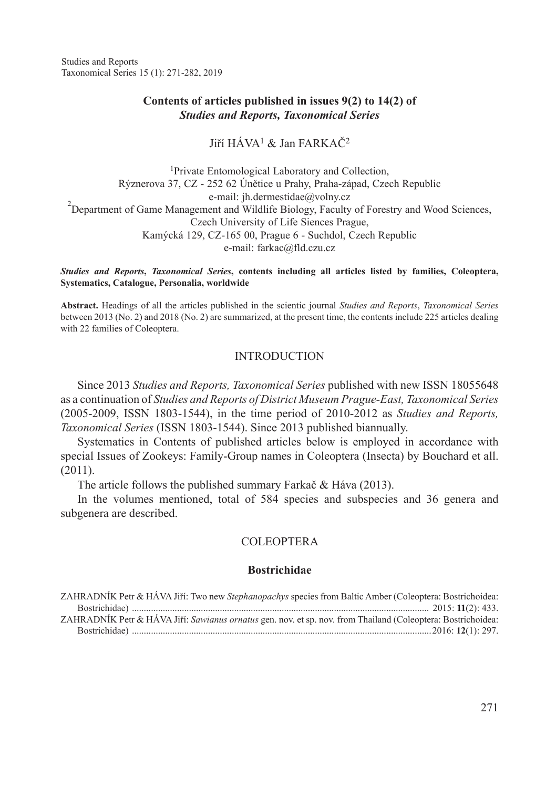Studies and Reports Taxonomical Series 15 (1): 271-282, 2019

### **Contents of articles published in issues 9(2) to 14(2) of** *Studies and Reports, Taxonomical Series*

Jiří  $H\acute{A}VA^1 \&$  Jan FARK $A\check{C}^2$ 

<sup>1</sup>Private Entomological Laboratory and Collection, Rýznerova 37, CZ - 252 62 Únětice u Prahy, Praha-západ, Czech Republic e-mail: jh.dermestidae@volny.cz<br>
2Department of Game Management and Wildlife Biology, Faculty of Forestry and Wood Sciences, Czech University of Life Siences Prague, Kamýcká 129, CZ-165 00, Prague 6 - Suchdol, Czech Republic e-mail: farkac@fld.czu.cz

*Studies and Reports***,** *Taxonomical Series***, contents including all articles listed by families, Coleoptera, Systematics, Catalogue, Personalia, worldwide** 

**Abstract.** Headings of all the articles published in the scientic journal *Studies and Reports*, *Taxonomical Series*  between 2013 (No. 2) and 2018 (No. 2) are summarized, at the present time, the contents include 225 articles dealing with 22 families of Coleoptera.

#### INTRODUCTION

Since 2013 *Studies and Reports, Taxonomical Series* published with new ISSN 18055648 as a continuation of *Studies and Reports of District Museum Prague-East, Taxonomical Series*  (2005-2009, ISSN 1803-1544), in the time period of 2010-2012 as *Studies and Reports, Taxonomical Series* (ISSN 1803-1544). Since 2013 published biannually.

Systematics in Contents of published articles below is employed in accordance with special Issues of Zookeys: Family-Group names in Coleoptera (Insecta) by Bouchard et all. (2011).

The article follows the published summary Farkač & Háva (2013).

In the volumes mentioned, total of 584 species and subspecies and 36 genera and subgenera are described.

### COLEOPTERA

#### **Bostrichidae**

| ZAHRADNIK Petr & HAVA Jiří: Two new Stephanopachys species from Baltic Amber (Coleoptera: Bostrichoidea:     |  |
|--------------------------------------------------------------------------------------------------------------|--|
|                                                                                                              |  |
| ZAHRADNÍK Petr & HÁVA Jiří: Sawianus ornatus gen. nov. et sp. nov. from Thailand (Coleoptera: Bostrichoidea: |  |
|                                                                                                              |  |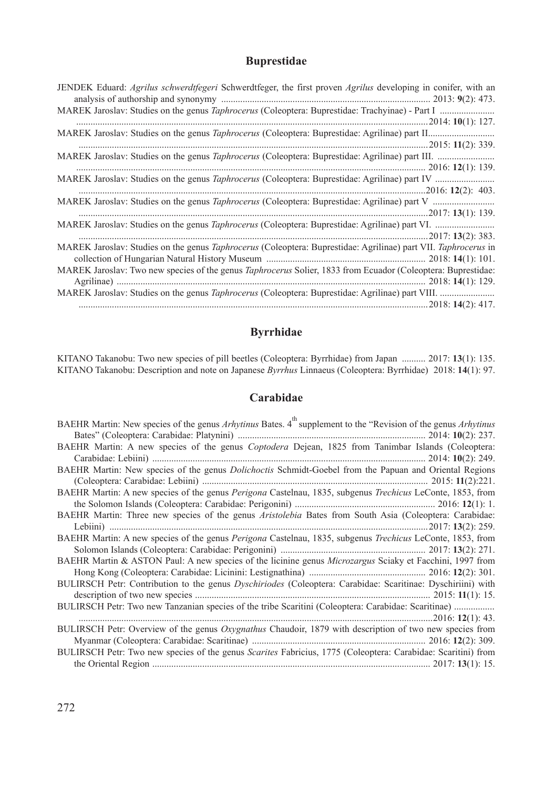## **Buprestidae**

# **Byrrhidae**

KITANO Takanobu: Two new species of pill beetles (Coleoptera: Byrrhidae) from Japan .......... 2017: **13**(1): 135. KITANO Takanobu: Description and note on Japanese *Byrrhus* Linnaeus (Coleoptera: Byrrhidae) 2018: **14**(1): 97.

### **Carabidae**

| BAEHR Martin: New species of the genus Arhytinus Bates. 4 <sup>th</sup> supplement to the "Revision of the genus Arhytinus |
|----------------------------------------------------------------------------------------------------------------------------|
|                                                                                                                            |
| BAEHR Martin: A new species of the genus Coptodera Dejean, 1825 from Tanimbar Islands (Coleoptera:                         |
|                                                                                                                            |
| BAEHR Martin: New species of the genus <i>Dolichoctis</i> Schmidt-Goebel from the Papuan and Oriental Regions              |
|                                                                                                                            |
| BAEHR Martin: A new species of the genus Perigona Castelnau, 1835, subgenus Trechicus LeConte, 1853, from                  |
|                                                                                                                            |
| BAEHR Martin: Three new species of the genus Aristolebia Bates from South Asia (Coleoptera: Carabidae:                     |
|                                                                                                                            |
| BAEHR Martin: A new species of the genus Perigona Castelnau, 1835, subgenus Trechicus LeConte, 1853, from                  |
|                                                                                                                            |
| BAEHR Martin & ASTON Paul: A new species of the licinine genus <i>Microzargus</i> Sciaky et Facchini, 1997 from            |
|                                                                                                                            |
| BULIRSCH Petr: Contribution to the genus <i>Dyschiriodes</i> (Coleoptera: Carabidae: Scaritinae: Dyschiriini) with         |
|                                                                                                                            |
|                                                                                                                            |
|                                                                                                                            |
| BULIRSCH Petr: Overview of the genus Oxygnathus Chaudoir, 1879 with description of two new species from                    |
|                                                                                                                            |
| BULIRSCH Petr: Two new species of the genus Scarites Fabricius, 1775 (Coleoptera: Carabidae: Scaritini) from               |
|                                                                                                                            |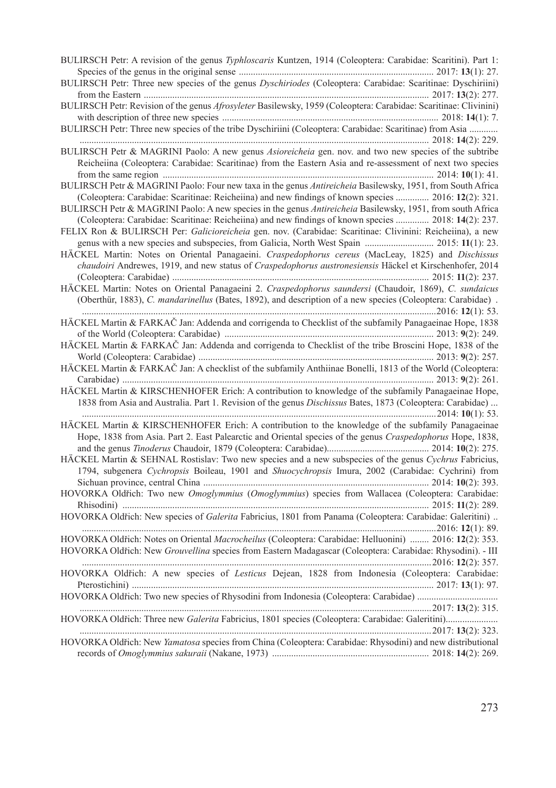BULIRSCH Petr: A revision of the genus *Typhloscaris* Kuntzen, 1914 (Coleoptera: Carabidae: Scaritini). Part 1: Species of the genus in the original sense .................................................................................. 2017: **13**(1): 27. BULIRSCH Petr: Three new species of the genus *Dyschiriodes* (Coleoptera: Carabidae: Scaritinae: Dyschiriini) from the Eastern ........................................................................................................................ 2017: **13**(2): 277. BULIRSCH Petr: Revision of the genus *Afrosyleter* Basilewsky, 1959 (Coleoptera: Carabidae: Scaritinae: Clivinini) with description of three new species ........................................................................................... 2018: **14**(1): 7. BULIRSCH Petr: Three new species of the tribe Dyschiriini (Coleoptera: Carabidae: Scaritinae) from Asia ............ ................................................................................................................................................... 2018: **14**(2): 229. BULIRSCH Petr & MAGRINI Paolo: A new genus *Asioreicheia* gen. nov. and two new species of the subtribe Reicheiina (Coleoptera: Carabidae: Scaritinae) from the Eastern Asia and re-assessment of next two species from the same region .................................................................................................................. 2014: **10**(1): 41. BULIRSCH Petr & MAGRINI Paolo: Four new taxa in the genus *Antireicheia* Basilewsky, 1951, from South Africa (Coleoptera: Carabidae: Scaritinae: Reicheiina) and new findings of known species .............. 2016: **12**(2): 321. BULIRSCH Petr & MAGRINI Paolo: A new species in the genus *Antireicheia* Basilewsky, 1951, from south Africa (Coleoptera: Carabidae: Scaritinae: Reicheiina) and new findings of known species .............. 2018: **14**(2): 237. FELIX Ron & BULIRSCH Per: *Galicioreicheia* gen. nov. (Carabidae: Scaritinae: Clivinini: Reicheiina), a new genus with a new species and subspecies, from Galicia, North West Spain ............................. 2015: **11**(1): 23. HÄCKEL Martin: Notes on Oriental Panagaeini. *Craspedophorus cereus* (MacLeay, 1825) and *Dischissus chaudoiri* Andrewes, 1919, and new status of *Craspedophorus austronesiensis* Häckel et Kirschenhofer, 2014 (Coleoptera: Carabidae) ............................................................................................................ 2015: **11**(2): 237. HÄCKEL Martin: Notes on Oriental Panagaeini 2. *Craspedophorus saundersi* (Chaudoir, 1869), *C. sundaicus*  (Oberthür, 1883), *C. mandarinellus* (Bates, 1892), and description of a new species (Coleoptera: Carabidae) . .....................................................................................................................................................2016: **12**(1): 53. HÄCKEL Martin & FARKAČ Jan: Addenda and corrigenda to Checklist of the subfamily Panagaeinae Hope, 1838 of the World (Coleoptera: Carabidae) ........................................................................................ 2013: **9**(2): 249. HÄCKEL Martin & FARKAČ Jan: Addenda and corrigenda to Checklist of the tribe Broscini Hope, 1838 of the World (Coleoptera: Carabidae) ................................................................................................... 2013: **9**(2): 257. HÄCKEL Martin & FARKAČ Jan: A checklist of the subfamily Anthiinae Bonelli, 1813 of the World (Coleoptera: Carabidae) ................................................................................................................................... 2013: **9**(2): 261. HÄCKEL Martin & KIRSCHENHOFER Erich: A contribution to knowledge of the subfamily Panagaeinae Hope, 1838 from Asia and Australia. Part 1. Revision of the genus *Dischissus* Bates, 1873 (Coleoptera: Carabidae) ... .....................................................................................................................................................2014: **10**(1): 53. HÄCKEL Martin & KIRSCHENHOFER Erich: A contribution to the knowledge of the subfamily Panagaeinae Hope, 1838 from Asia. Part 2. East Palearctic and Oriental species of the genus *Craspedophorus* Hope, 1838, and the genus *Tinoderus* Chaudoir, 1879 (Coleoptera: Carabidae)........................................... 2014: **10**(2): 275. HÄCKEL Martin & SEHNAL Rostislav: Two new species and a new subspecies of the genus *Cychrus* Fabricius, 1794, subgenera *Cychropsis* Boileau, 1901 and *Shuocychropsis* Imura, 2002 (Carabidae: Cychrini) from Sichuan province, central China ............................................................................................... 2014: **10**(2): 393. HOVORKA Oldřich: Two new *Omoglymmius* (*Omoglymmius*) species from Wallacea (Coleoptera: Carabidae: Rhisodini) ................................................................................................................................. 2015: **11**(2): 289. HOVORKA Oldřich: New species of *Galerita* Fabricius, 1801 from Panama (Coleoptera: Carabidae: Galeritini) .. .....................................................................................................................................................2016: **12**(1): 89. HOVORKA Oldřich: Notes on Oriental *Macrocheilus* (Coleoptera: Carabidae: Helluonini) ........ 2016: **12**(2): 353. HOVORKA Oldřich: New *Grouvellina* species from Eastern Madagascar (Coleoptera: Carabidae: Rhysodini). - III ...................................................................................................................................................2016: **12**(2): 357. HOVORKA Oldřich: A new species of *Lesticus* Dejean, 1828 from Indonesia (Coleoptera: Carabidae: Pterostichini) ............................................................................................................................... 2017: **13**(1): 97. HOVORKA Oldřich: Two new species of Rhysodini from Indonesia (Coleoptera: Carabidae) .................................. ....................................................................................................................................................2017: **13**(2): 315. HOVORKA Oldřich: Three new *Galerita* Fabricius, 1801 species (Coleoptera: Carabidae: Galeritini)...................... ....................................................................................................................................................2017: **13**(2): 323. HOVORKA Oldřich: New *Yamatosa* species from China (Coleoptera: Carabidae: Rhysodini) and new distributional records of *Omoglymmius sakuraii* (Nakane, 1973) .................................................................. 2018: **14**(2): 269.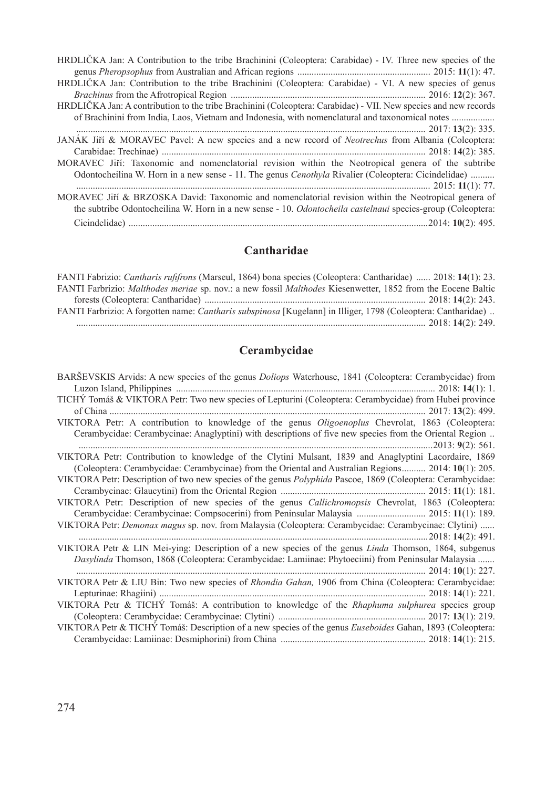| HRDLIČKA Jan: A Contribution to the tribe Brachinini (Coleoptera: Carabidae) - IV. Three new species of the     |
|-----------------------------------------------------------------------------------------------------------------|
|                                                                                                                 |
| HRDLIČKA Jan: Contribution to the tribe Brachinini (Coleoptera: Carabidae) - VI. A new species of genus         |
|                                                                                                                 |
| HRDLIČKA Jan: A contribution to the tribe Brachinini (Coleoptera: Carabidae) - VII. New species and new records |
| of Brachinini from India, Laos, Vietnam and Indonesia, with nomenclatural and taxonomical notes                 |
| $\cdots$ 2017: 13(2): 335.                                                                                      |
| JANAK Jiří & MORAVEC Pavel: A new species and a new record of <i>Neotrechus</i> from Albania (Coleoptera:       |
|                                                                                                                 |
| MORAVEC Jiří: Taxonomic and nomenclatorial revision within the Neotropical genera of the subtribe               |
| Odontocheilina W. Horn in a new sense - 11. The genus <i>Cenothyla</i> Rivalier (Coleoptera: Cicindelidae)      |
|                                                                                                                 |
| MORAVEC Jiří & BRZOSKA David: Taxonomic and nomenclatorial revision within the Neotropical genera of            |
| the subtribe Odontocheilina W. Horn in a new sense - 10. Odontocheila castelnaui species-group (Coleoptera:     |
|                                                                                                                 |
|                                                                                                                 |

# **Cantharidae**

| FANTI Fabrizio: <i>Cantharis rufifrons</i> (Marseul, 1864) bona species (Coleoptera: Cantharidae)  2018: 14(1): 23.        |  |
|----------------------------------------------------------------------------------------------------------------------------|--|
| FANTI Farbrizio: <i>Malthodes meriae</i> sp. nov.: a new fossil <i>Malthodes</i> Kiesenwetter, 1852 from the Eocene Baltic |  |
|                                                                                                                            |  |
| FANTI Farbrizio: A forgotten name: Cantharis subspinosa [Kugelann] in Illiger, 1798 (Coleoptera: Cantharidae)              |  |
|                                                                                                                            |  |

# **Cerambycidae**

| BARSEVSKIS Arvids: A new species of the genus <i>Doliops</i> Waterhouse, 1841 (Coleoptera: Cerambycidae) from      |
|--------------------------------------------------------------------------------------------------------------------|
|                                                                                                                    |
| TICHÝ Tomáš & VIKTORA Petr: Two new species of Lepturini (Coleoptera: Cerambycidae) from Hubei province            |
|                                                                                                                    |
| VIKTORA Petr: A contribution to knowledge of the genus <i>Oligoenoplus</i> Chevrolat, 1863 (Coleoptera:            |
| Cerambycidae: Cerambycinae: Anaglyptini) with descriptions of five new species from the Oriental Region            |
|                                                                                                                    |
| VIKTORA Petr: Contribution to knowledge of the Clytini Mulsant, 1839 and Anaglyptini Lacordaire, 1869              |
| (Coleoptera: Cerambycidae: Cerambycinae) from the Oriental and Australian Regions 2014: 10(1): 205.                |
| VIKTORA Petr: Description of two new species of the genus <i>Polyphida</i> Pascoe, 1869 (Coleoptera: Cerambycidae: |
|                                                                                                                    |
| VIKTORA Petr: Description of new species of the genus Callichromopsis Chevrolat, 1863 (Coleoptera:                 |
| Cerambycidae: Cerambycinae: Compsocerini) from Peninsular Malaysia  2015: 11(1): 189.                              |
| VIKTORA Petr: <i>Demonax magus</i> sp. nov. from Malaysia (Coleoptera: Cerambycidae: Cerambycinae: Clytini)        |
|                                                                                                                    |
| VIKTORA Petr & LIN Mei-ying: Description of a new species of the genus Linda Thomson, 1864, subgenus               |
| Dasylinda Thomson, 1868 (Coleoptera: Cerambycidae: Lamiinae: Phytoeciini) from Peninsular Malaysia                 |
|                                                                                                                    |
| VIKTORA Petr & LIU Bin: Two new species of Rhondia Gahan, 1906 from China (Coleoptera: Cerambycidae:               |
|                                                                                                                    |
| VIKTORA Petr & TICHÝ Tomáš: A contribution to knowledge of the Rhaphuma sulphurea species group                    |
|                                                                                                                    |
| VIKTORA Petr & TICHÝ Tomáš: Description of a new species of the genus Euseboides Gahan, 1893 (Coleoptera:          |
|                                                                                                                    |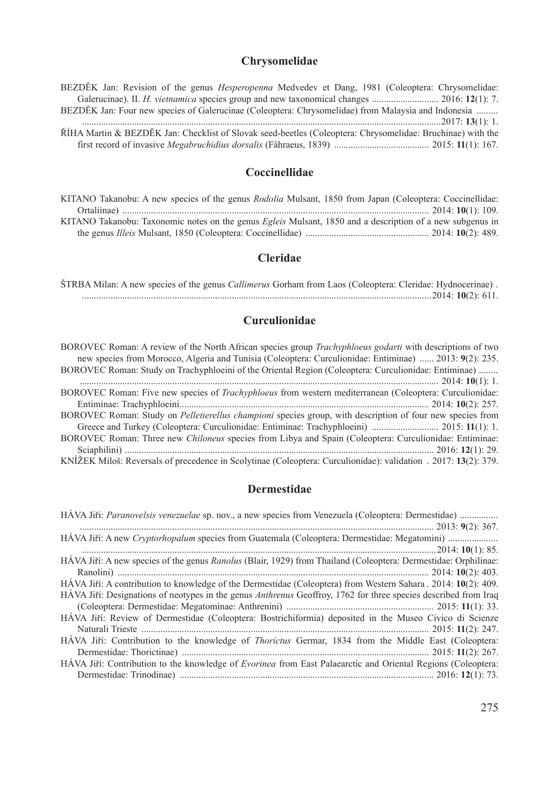# **Chrysomelidae**

| BEZDĚK Jan: Revision of the genus <i>Hesperopenna</i> Medvedev et Dang, 1981 (Coleoptera: Chrysomelidae:   |  |
|------------------------------------------------------------------------------------------------------------|--|
|                                                                                                            |  |
| BEZDĚK Jan: Four new species of Galerucinae (Coleoptera: Chrysomelidae) from Malaysia and Indonesia        |  |
|                                                                                                            |  |
| ŘÍHA Martin & BEZDĚK Jan: Checklist of Slovak seed-beetles (Coleoptera: Chrysomelidae: Bruchinae) with the |  |
|                                                                                                            |  |

# **Coccinellidae**

| KITANO Takanobu: A new species of the genus <i>Rodolia</i> Mulsant, 1850 from Japan (Coleoptera: Coccinellidae:  |  |
|------------------------------------------------------------------------------------------------------------------|--|
|                                                                                                                  |  |
| KITANO Takanobu: Taxonomic notes on the genus <i>Egleis</i> Mulsant, 1850 and a description of a new subgenus in |  |
|                                                                                                                  |  |

## **Cleridae**

ŠTRBA Milan: A new species of the genus *Callimerus* Gorham from Laos (Coleoptera: Cleridae: Hydnocerinae) . ...................................................................................................................................................2014: **10**(2): 611.

# **Curculionidae**

## **Dermestidae**

| HAVA Jiři: Paranovelsis venezuelae sp. nov., a new species from Venezuela (Coleoptera: Dermestidae)                    |
|------------------------------------------------------------------------------------------------------------------------|
|                                                                                                                        |
|                                                                                                                        |
|                                                                                                                        |
| HÁVA Jiří: A new species of the genus Ranolus (Blair, 1929) from Thailand (Coleoptera: Dermestidae: Orphilinae:        |
|                                                                                                                        |
| HÁVA Jiří: A contribution to knowledge of the Dermestidae (Coleoptera) from Western Sahara . 2014: 10(2): 409.         |
| HAVA Jiří: Designations of neotypes in the genus <i>Anthrenus</i> Geoffroy, 1762 for three species described from Iraq |
|                                                                                                                        |
| HÁVA Jiří: Review of Dermestidae (Coleoptera: Bostrichiformia) deposited in the Museo Civico di Scienze                |
|                                                                                                                        |
| HAVA Jiří: Contribution to the knowledge of <i>Thorictus</i> Germar, 1834 from the Middle East (Coleoptera:            |
|                                                                                                                        |
| HAVA Jiří: Contribution to the knowledge of Evorinea from East Palaearctic and Oriental Regions (Coleoptera:           |
|                                                                                                                        |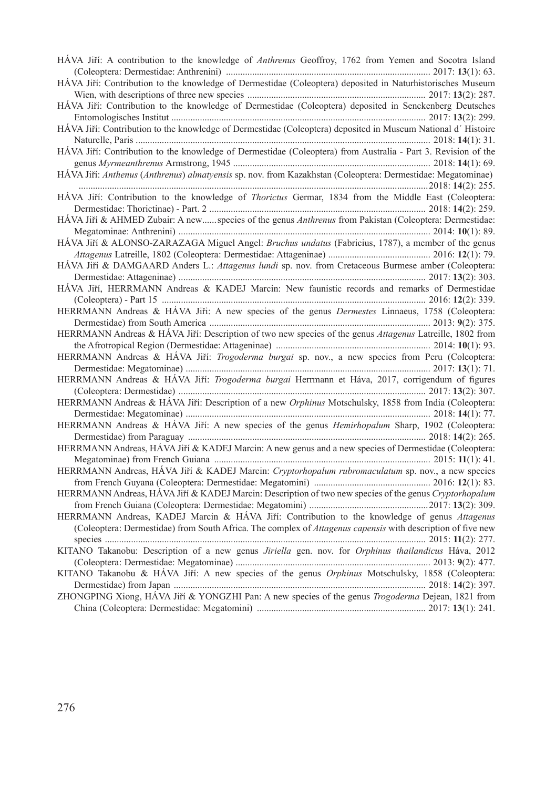| HÁVA Jiří: A contribution to the knowledge of Anthrenus Geoffroy, 1762 from Yemen and Socotra Island          |
|---------------------------------------------------------------------------------------------------------------|
| HÁVA Jiří: Contribution to the knowledge of Dermestidae (Coleoptera) deposited in Naturhistorisches Museum    |
|                                                                                                               |
| HÁVA Jiří: Contribution to the knowledge of Dermestidae (Coleoptera) deposited in Senckenberg Deutsches       |
| HÁVA Jiří: Contribution to the knowledge of Dermestidae (Coleoptera) deposited in Museum National d'Histoire  |
|                                                                                                               |
| HÁVA Jiří: Contribution to the knowledge of Dermestidae (Coleoptera) from Australia - Part 3. Revision of the |
|                                                                                                               |
| HÁVA Jiří: Anthenus (Anthrenus) almatyensis sp. nov. from Kazakhstan (Coleoptera: Dermestidae: Megatominae)   |
| HÁVA Jiří: Contribution to the knowledge of Thorictus Germar, 1834 from the Middle East (Coleoptera:          |
|                                                                                                               |
| HÁVA Jiří & AHMED Zubair: A new species of the genus Anthrenus from Pakistan (Coleoptera: Dermestidae:        |
|                                                                                                               |
| HÁVA Jiří & ALONSO-ZARAZAGA Miguel Angel: Bruchus undatus (Fabricius, 1787), a member of the genus            |
|                                                                                                               |
| HÁVA Jiří & DAMGAARD Anders L.: Attagenus lundi sp. nov. from Cretaceous Burmese amber (Coleoptera:           |
|                                                                                                               |
| HÁVA Jiří, HERRMANN Andreas & KADEJ Marcin: New faunistic records and remarks of Dermestidae                  |
|                                                                                                               |
| HERRMANN Andreas & HÁVA Jiři: A new species of the genus Dermestes Linnaeus, 1758 (Coleoptera:                |
|                                                                                                               |
| HERRMANN Andreas & HÁVA Jiří: Description of two new species of the genus Attagenus Latreille, 1802 from      |
|                                                                                                               |
| HERRMANN Andreas & HÁVA Jiří: Trogoderma burgai sp. nov., a new species from Peru (Coleoptera:                |
|                                                                                                               |
| HERRMANN Andreas & HÁVA Jiří: Trogoderma burgai Herrmann et Háva, 2017, corrigendum of figures                |
|                                                                                                               |
| HERRMANN Andreas & HÁVA Jiří: Description of a new Orphinus Motschulsky, 1858 from India (Coleoptera:         |
|                                                                                                               |
| HERRMANN Andreas & HÁVA Jiří: A new species of the genus Hemirhopalum Sharp, 1902 (Coleoptera:                |
|                                                                                                               |
| HERRMANN Andreas, HÁVA Jiří & KADEJ Marcin: A new genus and a new species of Dermestidae (Coleoptera:         |
|                                                                                                               |
| HERRMANN Andreas, HÁVA Jiří & KADEJ Marcin: Cryptorhopalum rubromaculatum sp. nov., a new species             |
|                                                                                                               |
| HERRMANN Andreas, HÁVA Jiří & KADEJ Marcin: Description of two new species of the genus Cryptorhopalum        |
|                                                                                                               |
| HERRMANN Andreas, KADEJ Marcin & HÁVA Jiří: Contribution to the knowledge of genus Attagenus                  |
| (Coleoptera: Dermestidae) from South Africa. The complex of Attagenus capensis with description of five new   |
| KITANO Takanobu: Description of a new genus Jiriella gen. nov. for Orphinus thailandicus Háva, 2012           |
|                                                                                                               |
| KITANO Takanobu & HÁVA Jiří: A new species of the genus Orphinus Motschulsky, 1858 (Coleoptera:               |
|                                                                                                               |
| ZHONGPING Xiong, HÁVA Jiří & YONGZHI Pan: A new species of the genus Trogoderma Dejean, 1821 from             |
|                                                                                                               |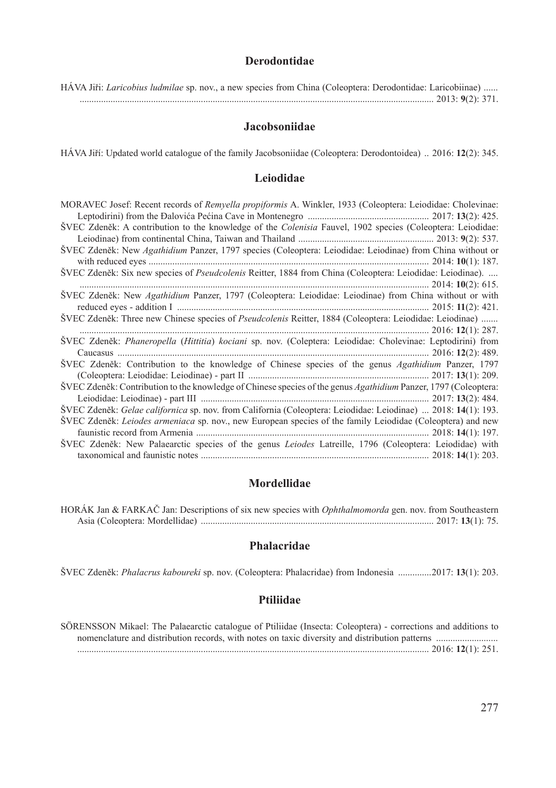### **Derodontidae**

|  |  |  |  |  |  |  |  | HÁVA Jiři: <i>Laricobius ludmilae</i> sp. nov., a new species from China (Coleoptera: Derodontidae: Laricobiinae) |  |
|--|--|--|--|--|--|--|--|-------------------------------------------------------------------------------------------------------------------|--|
|  |  |  |  |  |  |  |  |                                                                                                                   |  |

#### **Jacobsoniidae**

HÁVA Jiří: Updated world catalogue of the family Jacobsoniidae (Coleoptera: Derodontoidea) .. 2016: **12**(2): 345.

#### **Leiodidae**

| MORAVEC Josef: Recent records of Remyella propiformis A. Winkler, 1933 (Coleoptera: Leiodidae: Cholevinae:        |
|-------------------------------------------------------------------------------------------------------------------|
|                                                                                                                   |
| SVEC Zdeněk: A contribution to the knowledge of the <i>Colenisia</i> Fauvel, 1902 species (Coleoptera: Leiodidae: |
|                                                                                                                   |
| SVEC Zdeněk: New Agathidium Panzer, 1797 species (Coleoptera: Leiodidae: Leiodinae) from China without or         |
| ŠVEC Zdeněk: Six new species of Pseudcolenis Reitter, 1884 from China (Coleoptera: Leiodidae: Leiodinae).         |
|                                                                                                                   |
| ŠVEC Zdeněk: New Agathidium Panzer, 1797 (Coleoptera: Leiodidae: Leiodinae) from China without or with            |
|                                                                                                                   |
| ŠVEC Zdeněk: Three new Chinese species of Pseudcolenis Reitter, 1884 (Coleoptera: Leiodidae: Leiodinae)           |
|                                                                                                                   |
| ŠVEC Zdeněk: Phaneropella (Hittitia) kociani sp. nov. (Coleptera: Leiodidae: Cholevinae: Leptodirini) from        |
|                                                                                                                   |
| SVEC Zdeněk: Contribution to the knowledge of Chinese species of the genus <i>Agathidium</i> Panzer, 1797         |
| ŠVEC Zdeněk: Contribution to the knowledge of Chinese species of the genus Agathidium Panzer, 1797 (Coleoptera:   |
| SVEC Zdeněk: Gelae californica sp. nov. from California (Coleoptera: Leiodidae: Leiodinae)  2018: 14(1): 193.     |
| SVEC Zdeněk: <i>Leiodes armeniaca</i> sp. nov., new European species of the family Leiodidae (Coleoptera) and new |
| SVEC Zdeněk: New Palaearctic species of the genus <i>Leiodes</i> Latreille, 1796 (Coleoptera: Leiodidae) with     |
|                                                                                                                   |

## **Mordellidae**

HORÁK Jan & FARKAČ Jan: Descriptions of six new species with *Ophthalmomorda* gen. nov. from Southeastern Asia (Coleoptera: Mordellidae) .................................................................................................. 2017: **13**(1): 75.

## **Phalacridae**

ŠVEC Zdeněk: *Phalacrus kaboureki* sp. nov. (Coleoptera: Phalacridae) from Indonesia ..............2017: **13**(1): 203.

### **Ptiliidae**

SÖRENSSON Mikael: The Palaearctic catalogue of Ptiliidae (Insecta: Coleoptera) - corrections and additions to nomenclature and distribution records, with notes on taxic diversity and distribution patterns .......................... .................................................................................................................................................... 2016: **12**(1): 251.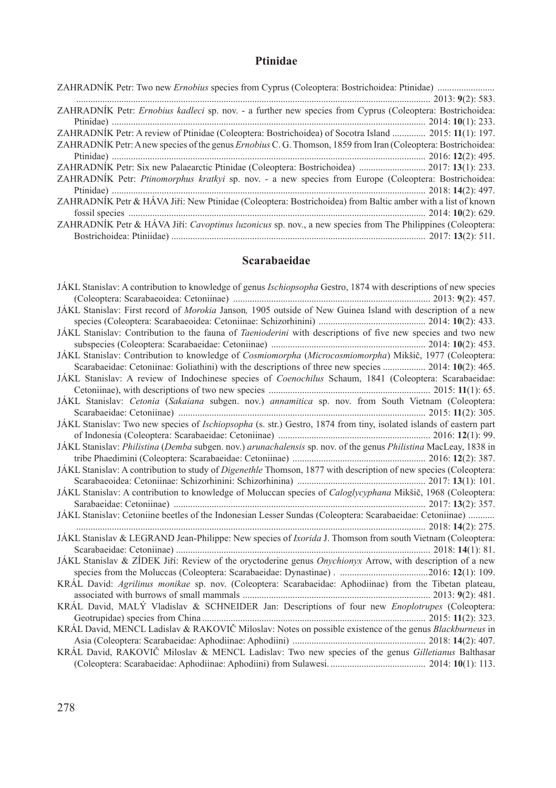# **Ptinidae**

| ZAHRADNIK Petr: Ernobius kadleci sp. nov. - a further new species from Cyprus (Coleoptera: Bostrichoidea:     |
|---------------------------------------------------------------------------------------------------------------|
|                                                                                                               |
| ZAHRADNÍK Petr: A review of Ptinidae (Coleoptera: Bostrichoidea) of Socotra Island  2015: 11(1): 197.         |
| ZAHRADNÍK Petr: A new species of the genus Ernobius C. G. Thomson, 1859 from Iran (Coleoptera: Bostrichoidea: |
|                                                                                                               |
| ZAHRADNIK Petr: Six new Palaearctic Ptinidae (Coleoptera: Bostrichoidea)  2017: 13(1): 233.                   |
| ZAHRADNIK Petr: Ptinomorphus kratkyi sp. nov. - a new species from Europe (Coleoptera: Bostrichoidea:         |
|                                                                                                               |
| ZAHRADNÍK Petr & HÁVA Jiří: New Ptinidae (Coleoptera: Bostrichoidea) from Baltic amber with a list of known   |
|                                                                                                               |
| ZAHRADNÍK Petr & HÁVA Jiří: Cavoptinus luzonicus sp. nov., a new species from The Philippines (Coleoptera:    |
|                                                                                                               |

# **Scarabaeidae**

| JAKL Stanislav: A contribution to knowledge of genus <i>Ischiopsopha</i> Gestro, 1874 with descriptions of new species  |
|-------------------------------------------------------------------------------------------------------------------------|
|                                                                                                                         |
| JÁKL Stanislav: First record of Morokia Janson, 1905 outside of New Guinea Island with description of a new             |
|                                                                                                                         |
| JAKL Stanislav: Contribution to the fauna of <i>Taenioderini</i> with descriptions of five new species and two new      |
|                                                                                                                         |
| JÁKL Stanislav: Contribution to knowledge of Cosmiomorpha (Microcosmiomorpha) Mikšič, 1977 (Coleoptera:                 |
| Scarabaeidae: Cetoniinae: Goliathini) with the descriptions of three new species  2014: 10(2): 465.                     |
| JAKL Stanislav: A review of Indochinese species of <i>Coenochilus</i> Schaum, 1841 (Coleoptera: Scarabaeidae:           |
|                                                                                                                         |
| JAKL Stanislav: Cetonia (Sakaiana subgen. nov.) annamitica sp. nov. from South Vietnam (Coleoptera:                     |
|                                                                                                                         |
| JAKL Stanislav: Two new species of Ischiopsopha (s. str.) Gestro, 1874 from tiny, isolated islands of eastern part      |
|                                                                                                                         |
| JÁKL Stanislav: Philistina (Demba subgen. nov.) arunachalensis sp. nov. of the genus Philistina MacLeay, 1838 in        |
|                                                                                                                         |
| JÁKL Stanislav: A contribution to study of <i>Digenethle</i> Thomson, 1877 with description of new species (Coleoptera: |
|                                                                                                                         |
| JÁKL Stanislav: A contribution to knowledge of Moluccan species of Caloglycyphana Mikšič, 1968 (Coleoptera:             |
|                                                                                                                         |
| JÁKL Stanislav: Cetoniine beetles of the Indonesian Lesser Sundas (Coleoptera: Scarabaeidae: Cetoniinae)                |
|                                                                                                                         |
| JÁKL Stanislav & LEGRAND Jean-Philippe: New species of Ixorida J. Thomson from south Vietnam (Coleoptera:               |
|                                                                                                                         |
| JÁKL Stanislav & ZÍDEK Jiří: Review of the oryctoderine genus Onychionyx Arrow, with description of a new               |
|                                                                                                                         |
| KRAL David: Agrilinus monikae sp. nov. (Coleoptera: Scarabaeidae: Aphodiinae) from the Tibetan plateau,                 |
| KRÁL David, MALÝ Vladislav & SCHNEIDER Jan: Descriptions of four new Enoplotrupes (Coleoptera:                          |
|                                                                                                                         |
| KRÁL David, MENCL Ladislav & RAKOVIČ Miloslav: Notes on possible existence of the genus <i>Blackburneus</i> in          |
|                                                                                                                         |
| KRÁL David, RAKOVIČ Miloslav & MENCL Ladislav: Two new species of the genus Gilletianus Balthasar                       |
|                                                                                                                         |
|                                                                                                                         |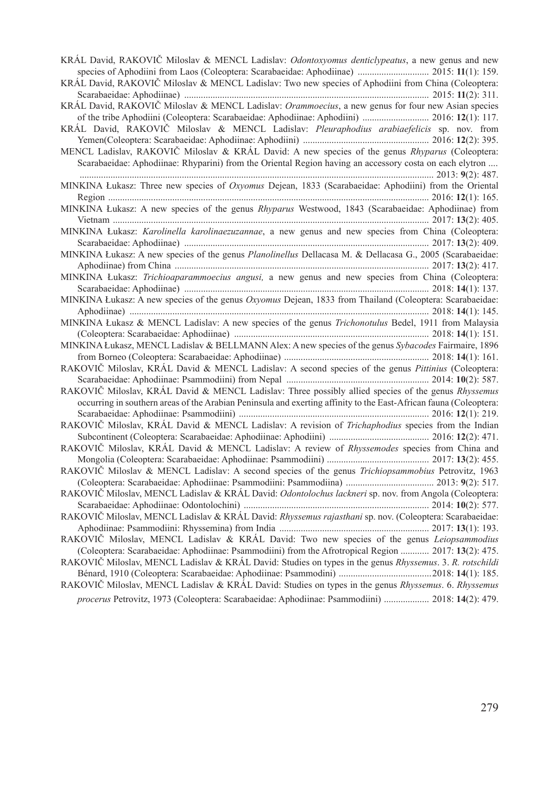| KRÁL David, RAKOVIČ Miloslav & MENCL Ladislav: Odontoxyomus denticlypeatus, a new genus and new                   |
|-------------------------------------------------------------------------------------------------------------------|
|                                                                                                                   |
| KRÁL David, RAKOVIČ Miloslav & MENCL Ladislav: Two new species of Aphodiini from China (Coleoptera:               |
|                                                                                                                   |
| KRÁL David, RAKOVIČ Miloslav & MENCL Ladislav: Orammoecius, a new genus for four new Asian species                |
| of the tribe Aphodiini (Coleoptera: Scarabaeidae: Aphodiinae: Aphodiini)  2016: 12(1): 117.                       |
| KRÁL David, RAKOVIČ Miloslav & MENCL Ladislav: Pleuraphodius arabiaefelicis sp. nov. from                         |
|                                                                                                                   |
| MENCL Ladislav, RAKOVIČ Miloslav & KRÁL David: A new species of the genus Rhyparus (Coleoptera:                   |
| Scarabaeidae: Aphodiinae: Rhyparini) from the Oriental Region having an accessory costa on each elytron           |
| MINKINA Łukasz: Three new species of Oxyomus Dejean, 1833 (Scarabaeidae: Aphodiini) from the Oriental             |
|                                                                                                                   |
| MINKINA Łukasz: A new species of the genus Rhyparus Westwood, 1843 (Scarabaeidae: Aphodiinae) from                |
|                                                                                                                   |
| MINKINA Łukasz: Karolinella karolinaezuzannae, a new genus and new species from China (Coleoptera:                |
|                                                                                                                   |
| MINKINA Łukasz: A new species of the genus Planolinellus Dellacasa M. & Dellacasa G., 2005 (Scarabaeidae:         |
|                                                                                                                   |
| MINKINA Łukasz: Trichioaparammoecius angusi, a new genus and new species from China (Coleoptera:                  |
|                                                                                                                   |
| MINKINA Łukasz: A new species of the genus Oxyomus Dejean, 1833 from Thailand (Coleoptera: Scarabaeidae:          |
|                                                                                                                   |
| MINKINA Lukasz & MENCL Ladislav: A new species of the genus Trichonotulus Bedel, 1911 from Malaysia               |
|                                                                                                                   |
| MINKINA Łukasz, MENCL Ladislav & BELLMANN Alex: A new species of the genus Sybacodes Fairmaire, 1896              |
|                                                                                                                   |
| RAKOVIČ Miloslav, KRÁL David & MENCL Ladislav: A second species of the genus Pittinius (Coleoptera:               |
|                                                                                                                   |
| RAKOVIČ Miloslav, KRÁL David & MENCL Ladislav: Three possibly allied species of the genus Rhyssemus               |
| occurring in southern areas of the Arabian Peninsula and exerting affinity to the East-African fauna (Coleoptera: |
|                                                                                                                   |
| RAKOVIČ Miloslav, KRÁL David & MENCL Ladislav: A revision of Trichaphodius species from the Indian                |
|                                                                                                                   |
| RAKOVIČ Miloslav, KRÁL David & MENCL Ladislav: A review of Rhyssemodes species from China and                     |
|                                                                                                                   |
| RAKOVIČ Miloslav & MENCL Ladislav: A second species of the genus Trichiopsammobius Petrovitz, 1963                |
|                                                                                                                   |
| RAKOVIČ Miloslav, MENCL Ladislav & KRÁL David: Odontolochus lackneri sp. nov. from Angola (Coleoptera:            |
|                                                                                                                   |
| RAKOVIČ Miloslav, MENCL Ladislav & KRÁL David: Rhyssemus rajasthani sp. nov. (Coleoptera: Scarabaeidae:           |
|                                                                                                                   |
| RAKOVIČ Miloslav, MENCL Ladislav & KRÁL David: Two new species of the genus Leiopsammodius                        |
| (Coleoptera: Scarabaeidae: Aphodiinae: Psammodiini) from the Afrotropical Region  2017: 13(2): 475.               |
| RAKOVIČ Miloslav, MENCL Ladislav & KRÁL David: Studies on types in the genus Rhyssemus. 3. R. rotschildi          |
|                                                                                                                   |
| RAKOVIČ Miloslav, MENCL Ladislav & KRÁL David: Studies on types in the genus Rhyssemus. 6. Rhyssemus              |
| procerus Petrovitz, 1973 (Coleoptera: Scarabaeidae: Aphodiinae: Psammodiini)  2018: 14(2): 479.                   |
|                                                                                                                   |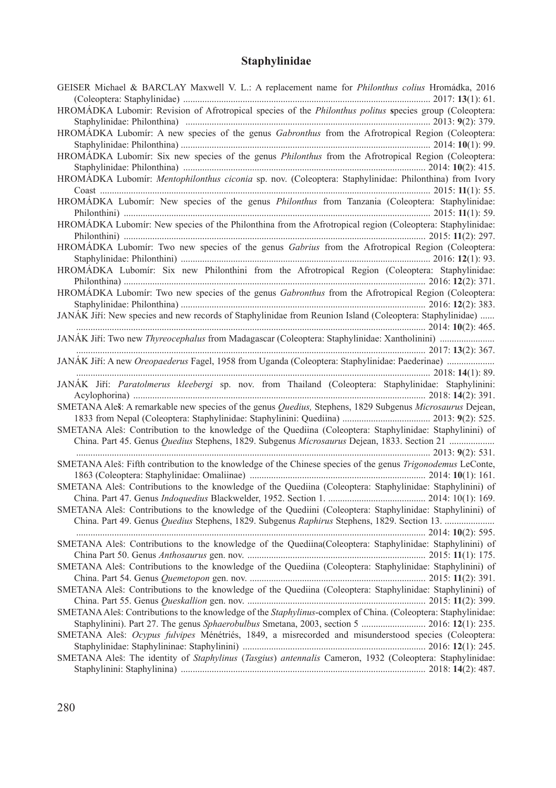# **Staphylinidae**

| GEISER Michael & BARCLAY Maxwell V. L.: A replacement name for <i>Philonthus colius</i> Hromádka, 2016                |
|-----------------------------------------------------------------------------------------------------------------------|
| HROMÁDKA Lubomir: Revision of Afrotropical species of the <i>Philonthus politus</i> species group (Coleoptera:        |
|                                                                                                                       |
| HROMADKA Lubomír: A new species of the genus Gabronthus from the Afrotropical Region (Coleoptera:                     |
|                                                                                                                       |
| HROMADKA Lubomír: Six new species of the genus Philonthus from the Afrotropical Region (Coleoptera:                   |
|                                                                                                                       |
| HROMÁDKA Lubomír: Mentophilonthus ciconia sp. nov. (Coleoptera: Staphylinidae: Philonthina) from Ivory                |
|                                                                                                                       |
| HROMÁDKA Lubomír: New species of the genus Philonthus from Tanzania (Coleoptera: Staphylinidae:                       |
| Philonthini) $\ldots$ 2015: 11(1): 59.                                                                                |
| HROMÁDKA Lubomír: New species of the Philonthina from the Afrotropical region (Coleoptera: Staphylinidae:             |
|                                                                                                                       |
|                                                                                                                       |
| HROMÁDKA Lubomír: Two new species of the genus Gabrius from the Afrotropical Region (Coleoptera:                      |
|                                                                                                                       |
| HROMÁDKA Lubomír: Six new Philonthini from the Afrotropical Region (Coleoptera: Staphylinidae:                        |
|                                                                                                                       |
| HROMÁDKA Lubomír: Two new species of the genus Gabronthus from the Afrotropical Region (Coleoptera:                   |
| JANÁK Jiří: New species and new records of Staphylinidae from Reunion Island (Coleoptera: Staphylinidae)              |
| 2014:10(2):465.                                                                                                       |
|                                                                                                                       |
| 2017:13(2):367.                                                                                                       |
|                                                                                                                       |
| $\frac{1}{2018}$ ; 14(1): 89.                                                                                         |
| JANÁK Jiří: Paratolmerus kleebergi sp. nov. from Thailand (Coleoptera: Staphylinidae: Staphylinini:                   |
|                                                                                                                       |
| SMETANA Aleš: A remarkable new species of the genus Quedius, Stephens, 1829 Subgenus Microsaurus Dejean,              |
|                                                                                                                       |
| SMETANA Aleš: Contribution to the knowledge of the Quediina (Coleoptera: Staphylinidae: Staphylinini) of              |
| China. Part 45. Genus Quedius Stephens, 1829. Subgenus Microsaurus Dejean, 1833. Section 21                           |
|                                                                                                                       |
| SMETANA Aleš: Fifth contribution to the knowledge of the Chinese species of the genus Trigonodemus LeConte,           |
|                                                                                                                       |
|                                                                                                                       |
| SMETANA Aleš: Contributions to the knowledge of the Quediina (Coleoptera: Staphylinidae: Staphylinini) of             |
|                                                                                                                       |
| SMETANA Aleš: Contributions to the knowledge of the Quediini (Coleoptera: Staphylinidae: Staphylinini) of             |
|                                                                                                                       |
|                                                                                                                       |
| SMETANA Aleš: Contributions to the knowledge of the Quediina(Coleoptera: Staphylinidae: Staphylinini) of              |
|                                                                                                                       |
| SMETANA Aleš: Contributions to the knowledge of the Quediina (Coleoptera: Staphylinidae: Staphylinini) of             |
|                                                                                                                       |
| SMETANA Aleš: Contributions to the knowledge of the Quediina (Coleoptera: Staphylinidae: Staphylinini) of             |
|                                                                                                                       |
| SMETANA Aleš: Contributions to the knowledge of the <i>Staphylinus</i> -complex of China. (Coleoptera: Staphylinidae: |
| Staphylinini). Part 27. The genus Sphaerobulbus Smetana, 2003, section 5  2016: 12(1): 235.                           |
| SMETANA Aleš: Ocypus fulvipes Ménétriés, 1849, a misrecorded and misunderstood species (Coleoptera:                   |
|                                                                                                                       |
|                                                                                                                       |
| SMETANA Aleš: The identity of Staphylinus (Tasgius) antennalis Cameron, 1932 (Coleoptera: Staphylinidae:              |
|                                                                                                                       |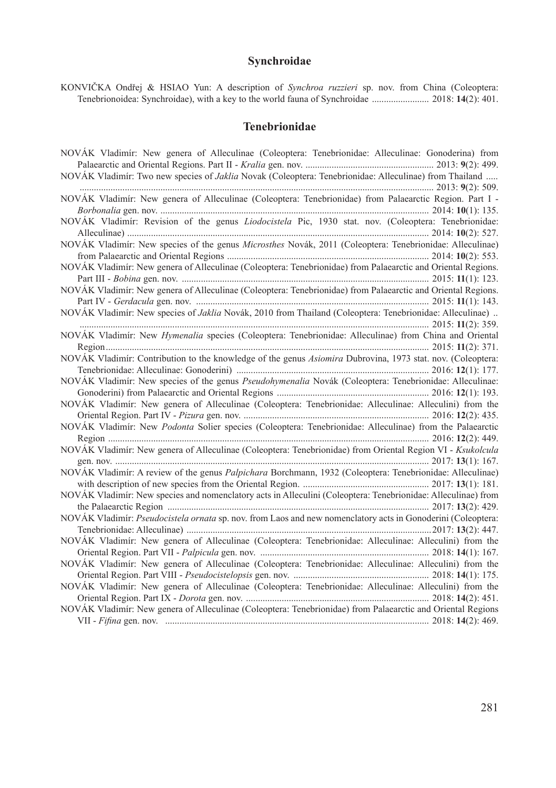# **Synchroidae**

KONVIČKA Ondřej & HSIAO Yun: A description of *Synchroa ruzzieri* sp. nov. from China (Coleoptera: Tenebrionoidea: Synchroidae), with a key to the world fauna of Synchroidae ........................ 2018: **14**(2): 401.

### **Tenebrionidae**

| NOVÁK Vladimír: New genera of Alleculinae (Coleoptera: Tenebrionidae: Alleculinae: Gonoderina) from           |
|---------------------------------------------------------------------------------------------------------------|
|                                                                                                               |
| NOVÁK Vladimír: Two new species of Jaklia Novak (Coleoptera: Tenebrionidae: Alleculinae) from Thailand        |
|                                                                                                               |
| NOVÁK Vladimír: New genera of Alleculinae (Coleoptera: Tenebrionidae) from Palaearctic Region. Part I -       |
|                                                                                                               |
| NOVÁK Vladimír: Revision of the genus Liodocistela Pic, 1930 stat. nov. (Coleoptera: Tenebrionidae:           |
|                                                                                                               |
| NOVÁK Vladimír: New species of the genus Microsthes Novák, 2011 (Coleoptera: Tenebrionidae: Alleculinae)      |
|                                                                                                               |
| NOVÁK Vladimír: New genera of Alleculinae (Coleoptera: Tenebrionidae) from Palaearctic and Oriental Regions.  |
|                                                                                                               |
| NOVÁK Vladimír: New genera of Alleculinae (Coleoptera: Tenebrionidae) from Palaearctic and Oriental Regions.  |
|                                                                                                               |
| NOVÁK Vladimír: New species of Jaklia Novák, 2010 from Thailand (Coleoptera: Tenebrionidae: Alleculinae)      |
|                                                                                                               |
| NOVÁK Vladimír: New Hymenalia species (Coleoptera: Tenebrionidae: Alleculinae) from China and Oriental        |
|                                                                                                               |
| NOVÁK Vladimír: Contribution to the knowledge of the genus Asiomira Dubrovina, 1973 stat. nov. (Coleoptera:   |
|                                                                                                               |
| NOVÁK Vladimír: New species of the genus Pseudohymenalia Novák (Coleoptera: Tenebrionidae: Alleculinae:       |
|                                                                                                               |
| NOVÁK Vladimír: New genera of Alleculinae (Coleoptera: Tenebrionidae: Alleculinae: Alleculini) from the       |
|                                                                                                               |
| NOVÁK Vladimír: New Podonta Solier species (Coleoptera: Tenebrionidae: Alleculinae) from the Palaearctic      |
|                                                                                                               |
| NOVÁK Vladimír: New genera of Alleculinae (Coleoptera: Tenebrionidae) from Oriental Region VI - Ksukolcula    |
|                                                                                                               |
| NOVÁK Vladimír: A review of the genus Palpichara Borchmann, 1932 (Coleoptera: Tenebrionidae: Alleculinae)     |
|                                                                                                               |
| NOVÁK Vladimír: New species and nomenclatory acts in Alleculini (Coleoptera: Tenebrionidae: Alleculinae) from |
|                                                                                                               |
| NOVÁK Vladimír: Pseudocistela ornata sp. nov. from Laos and new nomenclatory acts in Gonoderini (Coleoptera:  |
|                                                                                                               |
| NOVÁK Vladimír: New genera of Alleculinae (Coleoptera: Tenebrionidae: Alleculinae: Alleculini) from the       |
|                                                                                                               |
| NOVÁK Vladimír: New genera of Alleculinae (Coleoptera: Tenebrionidae: Alleculinae: Alleculini) from the       |
|                                                                                                               |
| NOVÁK Vladimír: New genera of Alleculinae (Coleoptera: Tenebrionidae: Alleculinae: Alleculini) from the       |
|                                                                                                               |
| NOVÁK Vladimír: New genera of Alleculinae (Coleoptera: Tenebrionidae) from Palaearctic and Oriental Regions   |
|                                                                                                               |